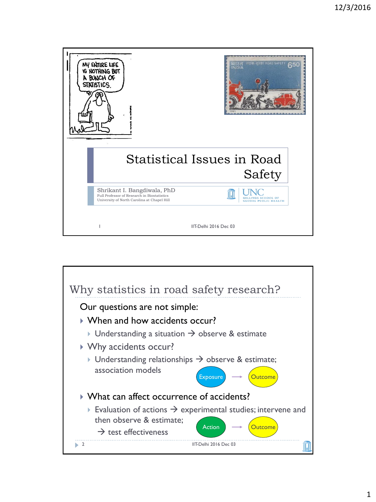| MY ENTIRE LIFE<br><b>YS NOTHING BUT</b><br>A BUNCH OF<br>STATISTICS.                                                      | सड <del>क</del> सरक्षा ROAD          |
|---------------------------------------------------------------------------------------------------------------------------|--------------------------------------|
|                                                                                                                           | Statistical Issues in Road<br>Safety |
| Shrikant I. Bangdiwala, PhD<br>Full Professor of Research in Biostatistics<br>University of North Carolina at Chapel Hill | L PUBLIC HEALTH                      |
|                                                                                                                           | IIT-Delhi 2016 Dec 03                |

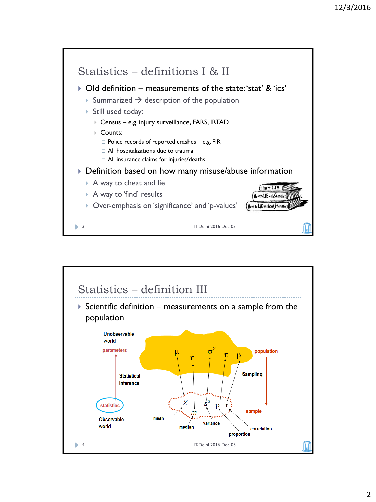

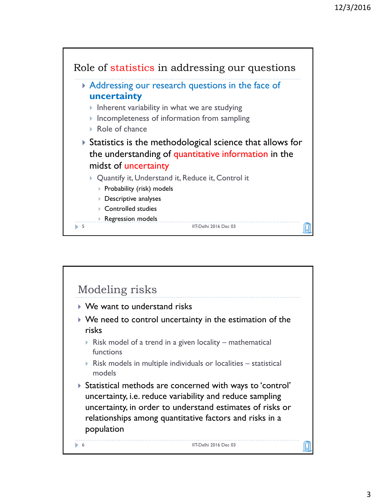

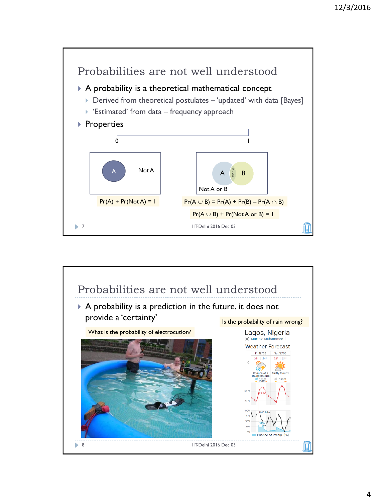

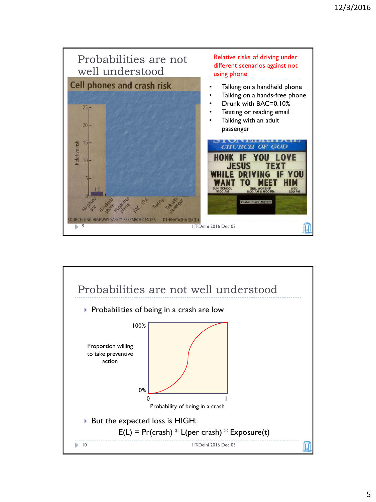

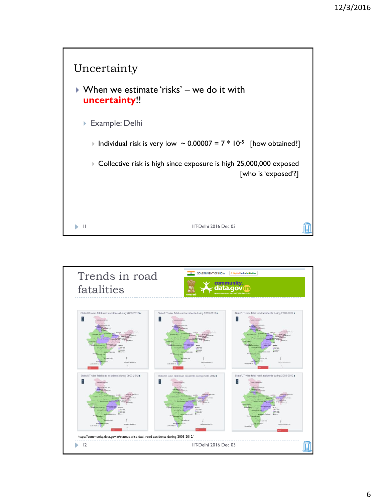

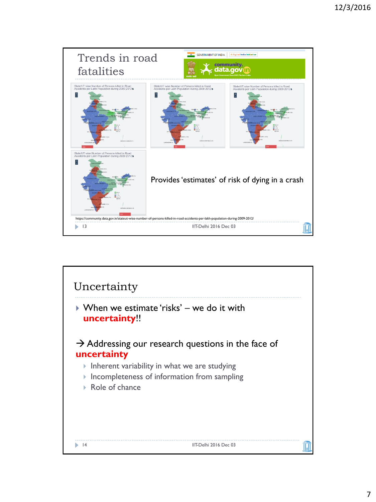

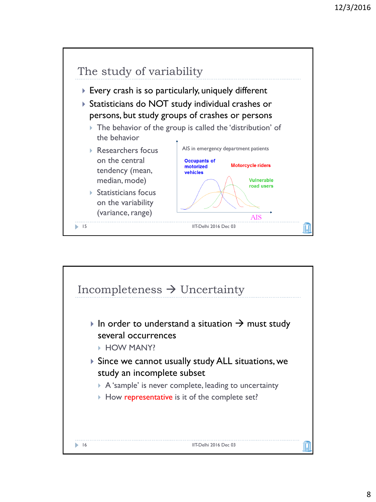

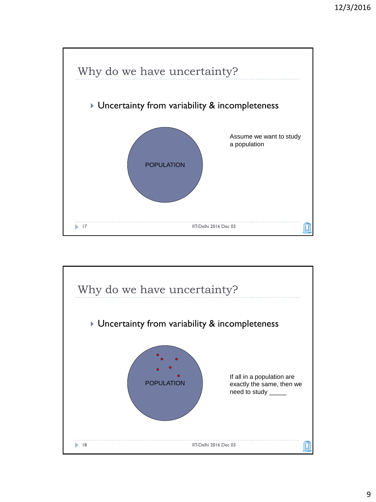

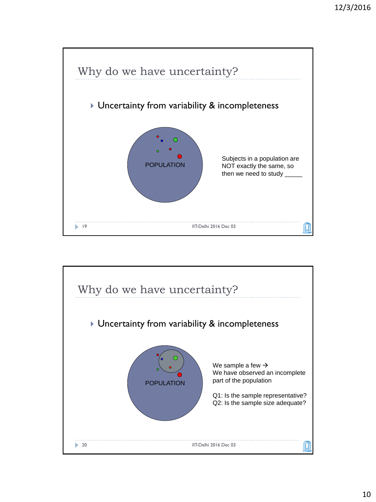

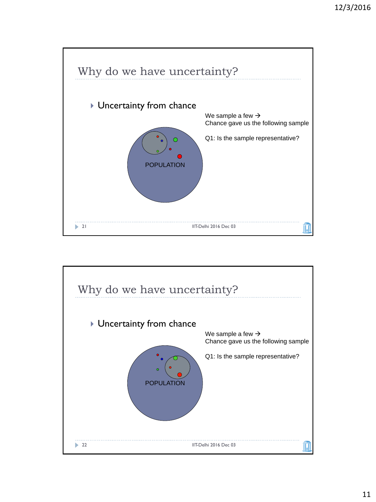

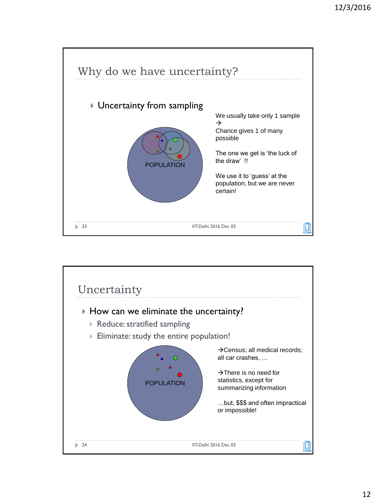

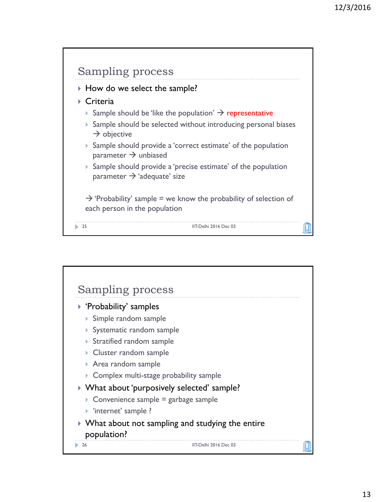

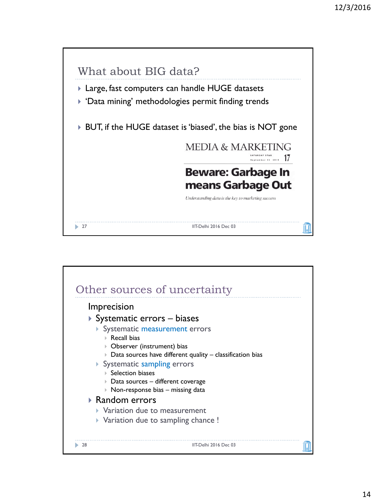

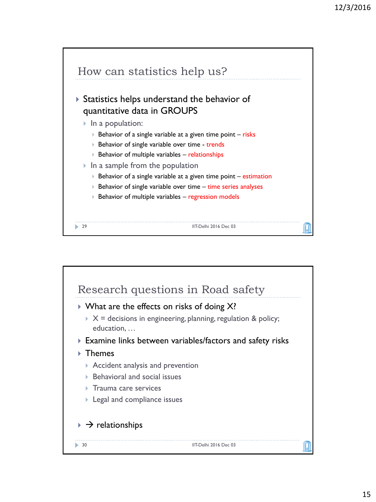